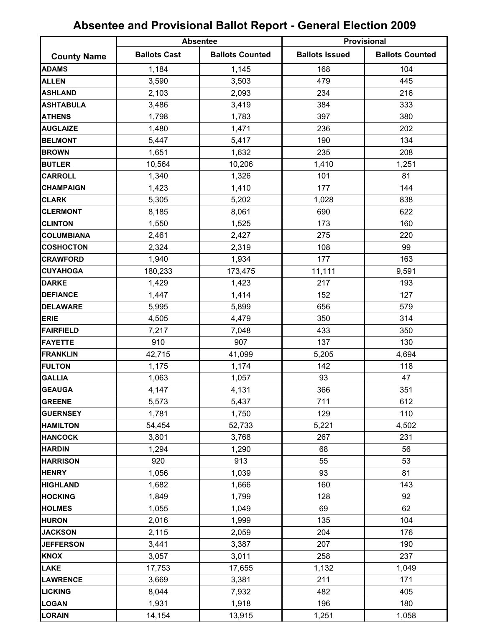|                    | <b>Absentee</b>     |                        | Provisional           |                        |
|--------------------|---------------------|------------------------|-----------------------|------------------------|
| <b>County Name</b> | <b>Ballots Cast</b> | <b>Ballots Counted</b> | <b>Ballots Issued</b> | <b>Ballots Counted</b> |
| <b>ADAMS</b>       | 1,184               | 1,145                  | 168                   | 104                    |
| <b>ALLEN</b>       | 3,590               | 3,503                  | 479                   | 445                    |
| <b>ASHLAND</b>     | 2,103               | 2,093                  | 234                   | 216                    |
| <b>ASHTABULA</b>   | 3,486               | 3,419                  | 384                   | 333                    |
| <b>ATHENS</b>      | 1,798               | 1,783                  | 397                   | 380                    |
| <b>AUGLAIZE</b>    | 1,480               | 1,471                  | 236                   | 202                    |
| <b>BELMONT</b>     | 5,447               | 5,417                  | 190                   | 134                    |
| <b>BROWN</b>       | 1,651               | 1,632                  | 235                   | 208                    |
| <b>BUTLER</b>      | 10,564              | 10,206                 | 1,410                 | 1,251                  |
| <b>CARROLL</b>     | 1,340               | 1,326                  | 101                   | 81                     |
| <b>CHAMPAIGN</b>   | 1,423               | 1,410                  | 177                   | 144                    |
| <b>CLARK</b>       | 5,305               | 5,202                  | 1,028                 | 838                    |
| <b>CLERMONT</b>    | 8,185               | 8,061                  | 690                   | 622                    |
| <b>CLINTON</b>     | 1,550               | 1,525                  | 173                   | 160                    |
| <b>COLUMBIANA</b>  | 2,461               | 2,427                  | 275                   | 220                    |
| <b>COSHOCTON</b>   | 2,324               | 2,319                  | 108                   | 99                     |
| <b>CRAWFORD</b>    | 1,940               | 1,934                  | 177                   | 163                    |
| <b>CUYAHOGA</b>    | 180,233             | 173,475                | 11,111                | 9,591                  |
| <b>DARKE</b>       | 1,429               | 1,423                  | 217                   | 193                    |
| <b>DEFIANCE</b>    | 1,447               | 1,414                  | 152                   | 127                    |
| <b>DELAWARE</b>    | 5,995               | 5,899                  | 656                   | 579                    |
| <b>ERIE</b>        | 4,505               | 4,479                  | 350                   | 314                    |
| <b>FAIRFIELD</b>   | 7,217               | 7,048                  | 433                   | 350                    |
| <b>FAYETTE</b>     | 910                 | 907                    | 137                   | 130                    |
| <b>FRANKLIN</b>    | 42,715              | 41,099                 | 5,205                 | 4,694                  |
| <b>FULTON</b>      | 1,175               | 1,174                  | 142                   | 118                    |
| <b>GALLIA</b>      | 1,063               | 1,057                  | 93                    | 47                     |
| <b>GEAUGA</b>      | 4,147               | 4,131                  | 366                   | 351                    |
| <b>GREENE</b>      | 5,573               | 5,437                  | 711                   | 612                    |
| <b>GUERNSEY</b>    | 1,781               | 1,750                  | 129                   | 110                    |
| <b>HAMILTON</b>    | 54,454              | 52,733                 | 5,221                 | 4,502                  |
| <b>HANCOCK</b>     | 3,801               | 3,768                  | 267                   | 231                    |
| <b>HARDIN</b>      | 1,294               | 1,290                  | 68                    | 56                     |
| <b>HARRISON</b>    | 920                 | 913                    | 55                    | 53                     |
| <b>HENRY</b>       | 1,056               | 1,039                  | 93                    | 81                     |
| <b>HIGHLAND</b>    | 1,682               | 1,666                  | 160                   | 143                    |
| <b>HOCKING</b>     | 1,849               | 1,799                  | 128                   | 92                     |
| <b>HOLMES</b>      | 1,055               | 1,049                  | 69                    | 62                     |
| <b>HURON</b>       | 2,016               | 1,999                  | 135                   | 104                    |
| <b>JACKSON</b>     | 2,115               | 2,059                  | 204                   | 176                    |
| <b>JEFFERSON</b>   | 3,441               | 3,387                  | 207                   | 190                    |
| <b>KNOX</b>        | 3,057               | 3,011                  | 258                   | 237                    |
| <b>LAKE</b>        | 17,753              | 17,655                 | 1,132                 | 1,049                  |
| <b>LAWRENCE</b>    | 3,669               | 3,381                  | 211                   | 171                    |
| <b>LICKING</b>     | 8,044               | 7,932                  | 482                   | 405                    |
| <b>LOGAN</b>       | 1,931               | 1,918                  | 196                   | 180                    |
| <b>LORAIN</b>      | 14,154              | 13,915                 | 1,251                 | 1,058                  |

## **Absentee and Provisional Ballot Report - General Election 2009**